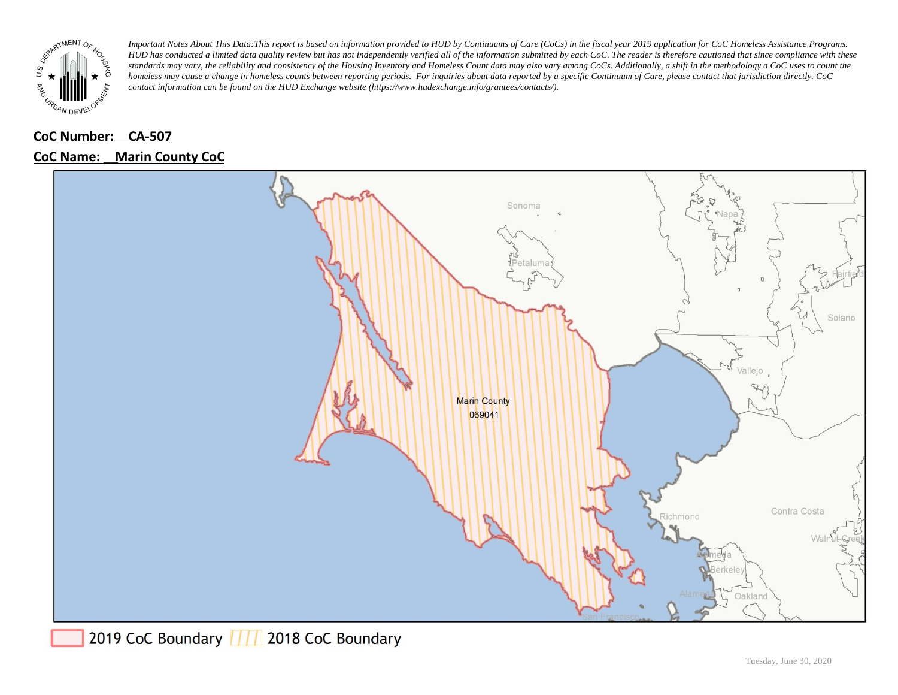

### **CoC Number: CA-507**

#### **CoC Name: \_\_ Marin County CoC**



2019 CoC Boundary | | | 2018 CoC Boundary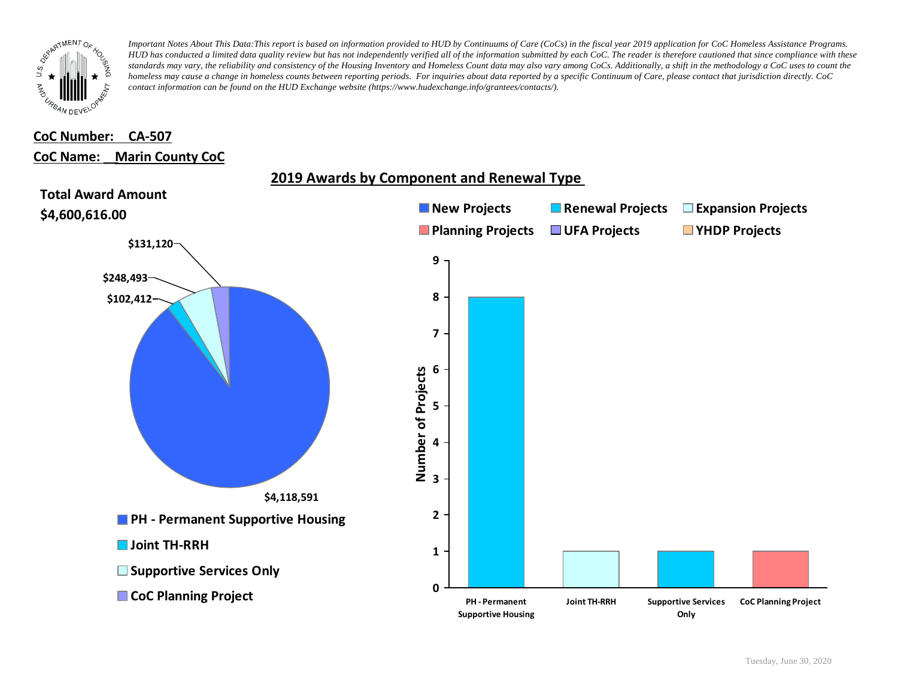

# **CoC Number: CA-507**

## **CoC Name: \_\_ Marin County CoC**

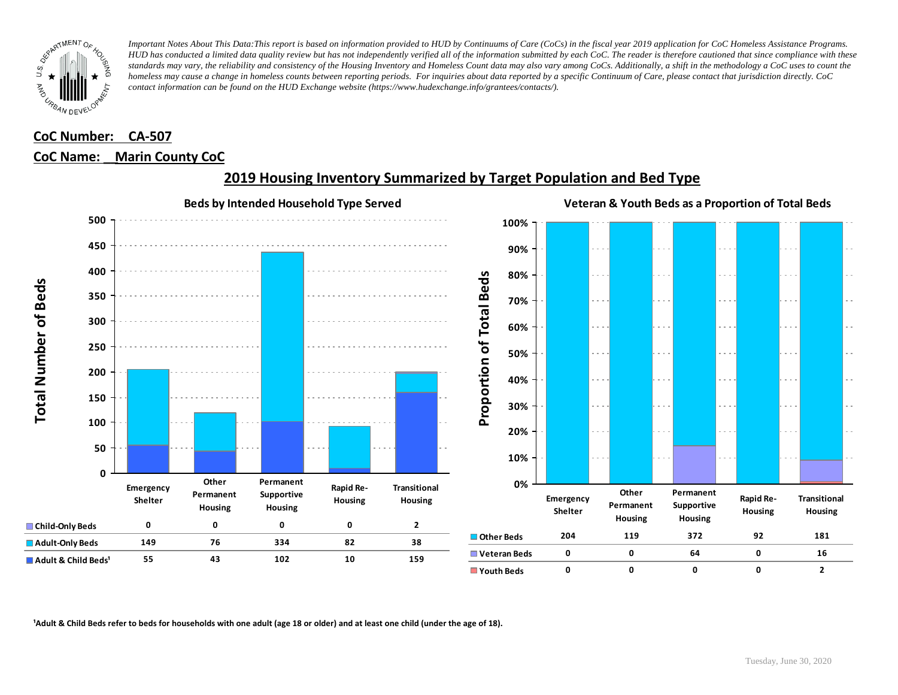

## **CoC Number: CA-507 CoC Name: \_\_ Marin County CoC**



# **2019 Housing Inventory Summarized by Target Population and Bed Type**

<sup>1</sup> Adult & Child Beds refer to beds for households with one adult (age 18 or older) and at least one child (under the age of 18).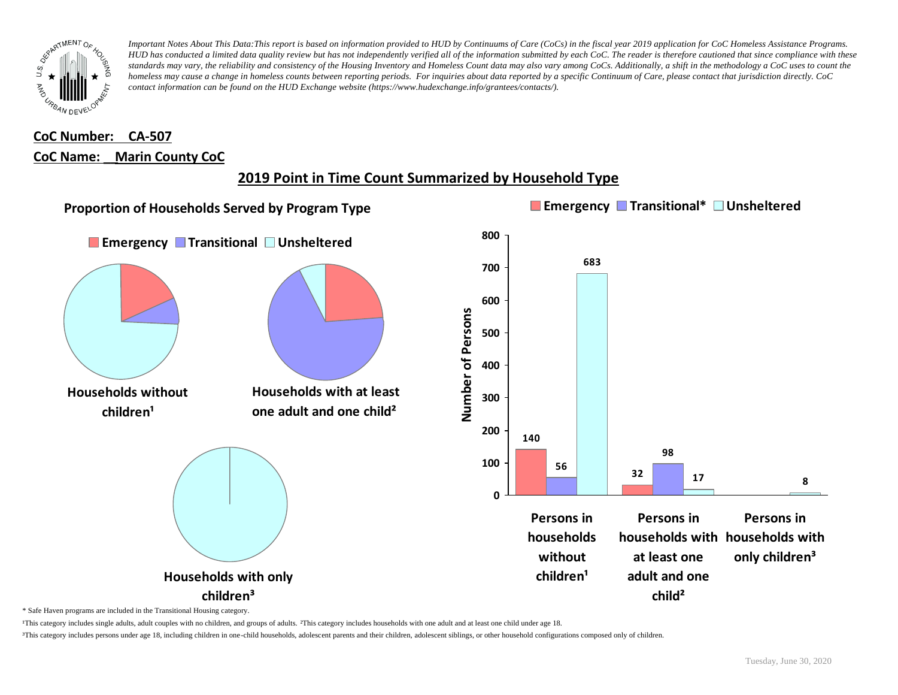

# **CoC Number: CA-507 CoC Name: \_\_ Marin County CoC**

# **2019 Point in Time Count Summarized by Household Type**



\* Safe Haven programs are included in the Transitional Housing category.

¹This category includes single adults, adult couples with no children, and groups of adults. ²This category includes households with one adult and at least one child under age 18.

³This category includes persons under age 18, including children in one-child households, adolescent parents and their children, adolescent siblings, or other household configurations composed only of children.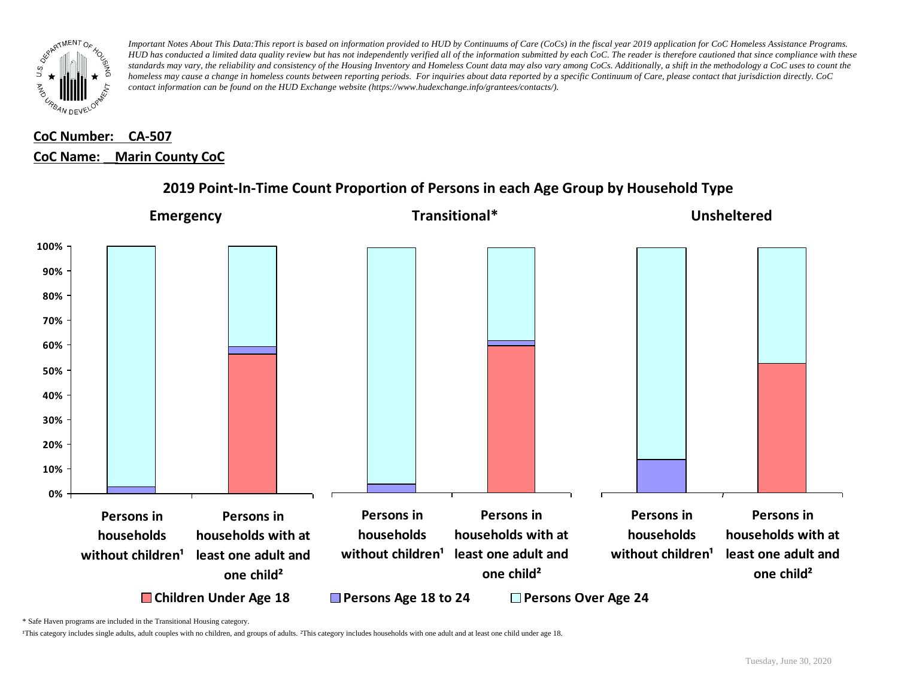

# **CoC Number: CA-507 CoC Name: \_\_ Marin County CoC**



## **2019 Point-In-Time Count Proportion of Persons in each Age Group by Household Type**

\* Safe Haven programs are included in the Transitional Housing category.

¹This category includes single adults, adult couples with no children, and groups of adults. ²This category includes households with one adult and at least one child under age 18.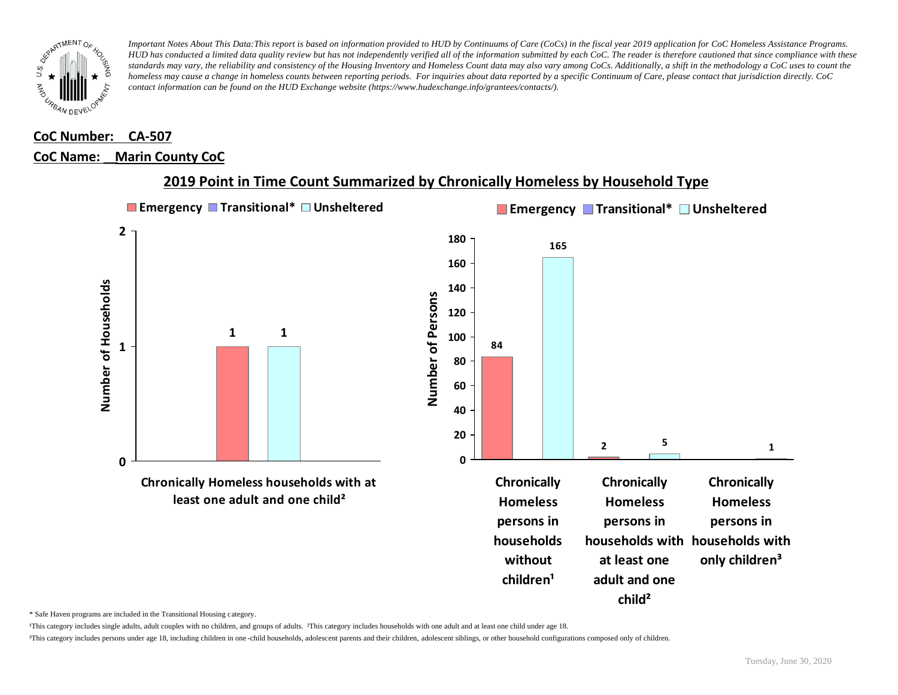

#### **CoC Number: CA-507**

#### **CoC Name: \_\_ Marin County CoC**



## **2019 Point in Time Count Summarized by Chronically Homeless by Household Type**

\* Safe Haven programs are included in the Transitional Housing category.

¹This category includes single adults, adult couples with no children, and groups of adults. ²This category includes households with one adult and at least one child under age 18.

³This category includes persons under age 18, including children in one -child households, adolescent parents and their children, adolescent siblings, or other household configurations composed only of children.